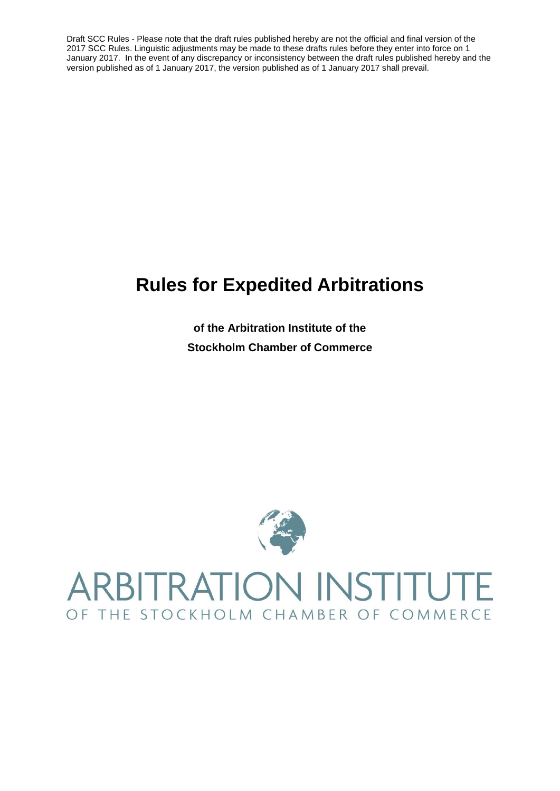## **Rules for Expedited Arbitrations**

**of the Arbitration Institute of the Stockholm Chamber of Commerce**



# **ARBITRATION INSTITUTE** OF THE STOCKHOLM CHAMBER OF COMMERCE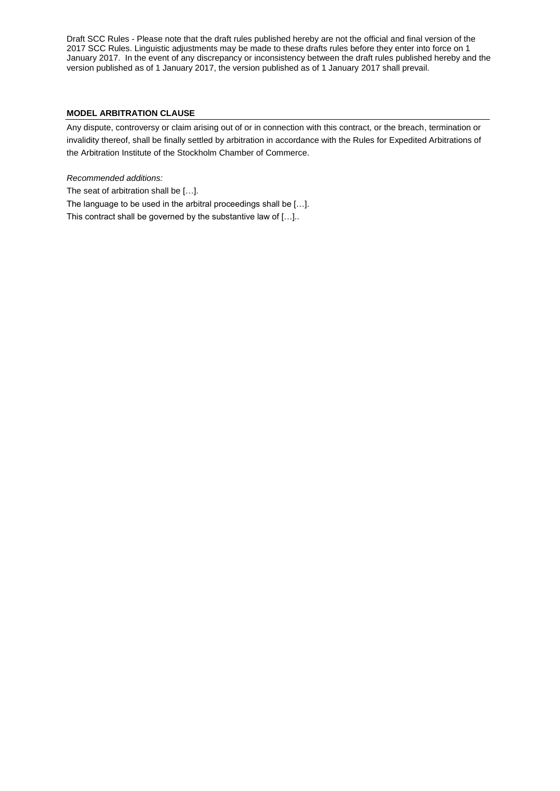#### **MODEL ARBITRATION CLAUSE**

Any dispute, controversy or claim arising out of or in connection with this contract, or the breach, termination or invalidity thereof, shall be finally settled by arbitration in accordance with the Rules for Expedited Arbitrations of the Arbitration Institute of the Stockholm Chamber of Commerce.

*Recommended additions:*

The seat of arbitration shall be […].

The language to be used in the arbitral proceedings shall be […].

This contract shall be governed by the substantive law of […]..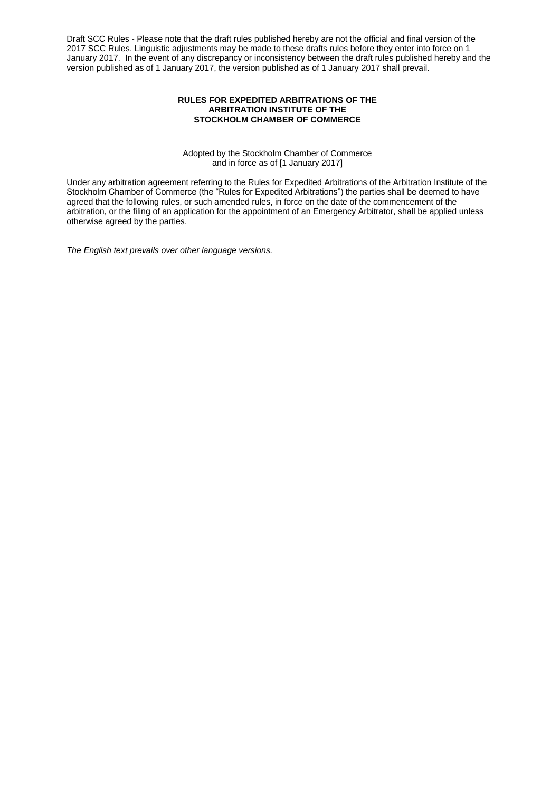#### **RULES FOR EXPEDITED ARBITRATIONS OF THE ARBITRATION INSTITUTE OF THE STOCKHOLM CHAMBER OF COMMERCE**

Adopted by the Stockholm Chamber of Commerce and in force as of [1 January 2017]

Under any arbitration agreement referring to the Rules for Expedited Arbitrations of the Arbitration Institute of the Stockholm Chamber of Commerce (the "Rules for Expedited Arbitrations") the parties shall be deemed to have agreed that the following rules, or such amended rules, in force on the date of the commencement of the arbitration, or the filing of an application for the appointment of an Emergency Arbitrator, shall be applied unless otherwise agreed by the parties.

*The English text prevails over other language versions.*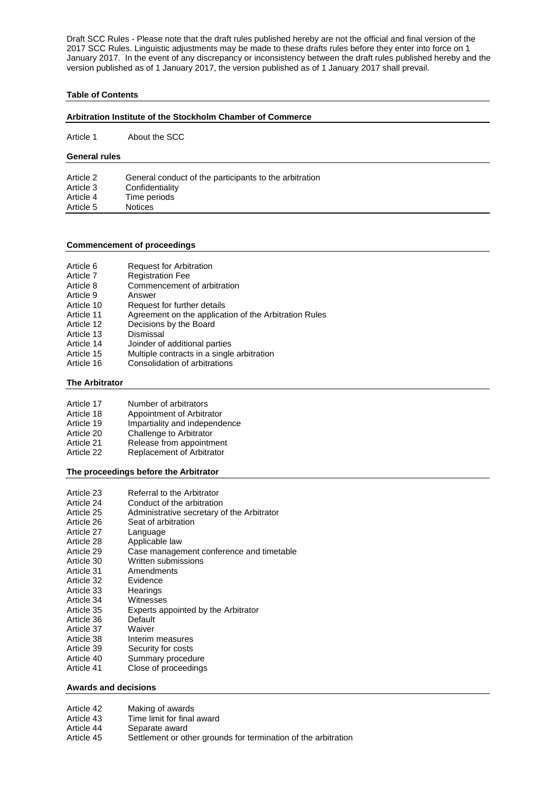#### **Table of Contents**

#### **Arbitration Institute of the Stockholm Chamber of Commerce**

Article 1 About the SCC

#### **General rules**

| Article 2 | General conduct of the participants to the arbitration |
|-----------|--------------------------------------------------------|
| Article 3 | Confidentiality                                        |
| Article 4 | Time periods                                           |
| Article 5 | <b>Notices</b>                                         |

#### **Commencement of proceedings**

| Article 6 | <b>Request for Arbitration</b> |
|-----------|--------------------------------|
|-----------|--------------------------------|

- Article 7 Registration Fee<br>Article 8 Commencement
- Commencement of arbitration
- Article 9 Answer
- Article 10 Request for further details<br>Article 11 Agreement on the applicat
- Article 11 Agreement on the application of the Arbitration Rules<br>Article 12 Decisions by the Board
- Decisions by the Board
- Article 13 Dismissal<br>Article 14 Joinder of
- Article 14 Joinder of additional parties<br>Article 15 Multiple contracts in a single
- Multiple contracts in a single arbitration
- Article 16 Consolidation of arbitrations

#### **The Arbitrator**

| Article 17 | Number of arbitrators            |
|------------|----------------------------------|
| Article 18 | Appointment of Arbitrator        |
| Article 19 | Impartiality and independence    |
| Article 20 | Challenge to Arbitrator          |
| Article 21 | Release from appointment         |
| Article 22 | <b>Replacement of Arbitrator</b> |
|            |                                  |

#### **The proceedings before the Arbitrator**

| Article 23 | Referral to the Arbitrator                 |
|------------|--------------------------------------------|
| Article 24 | Conduct of the arbitration                 |
| Article 25 | Administrative secretary of the Arbitrator |
| Article 26 | Seat of arbitration                        |
| Article 27 | Language                                   |
| Article 28 | Applicable law                             |
| Article 29 | Case management conference and timetable   |
| Article 30 | Written submissions                        |
| Article 31 | Amendments                                 |
| Article 32 | Evidence                                   |
| Article 33 | Hearings                                   |
| Article 34 | Witnesses                                  |
| Article 35 | Experts appointed by the Arbitrator        |
| Article 36 | Default                                    |
| Article 37 | Waiver                                     |
| Article 38 | Interim measures                           |
| Article 39 | Security for costs                         |
| Article 40 | Summary procedure                          |
| Article 41 | Close of proceedings                       |

#### **Awards and decisions**

| Article 42 | Making of awards |
|------------|------------------|
|------------|------------------|

- Article 43 Time limit for final award<br>Article 44 Separate award
- Separate award
- Article 45 Settlement or other grounds for termination of the arbitration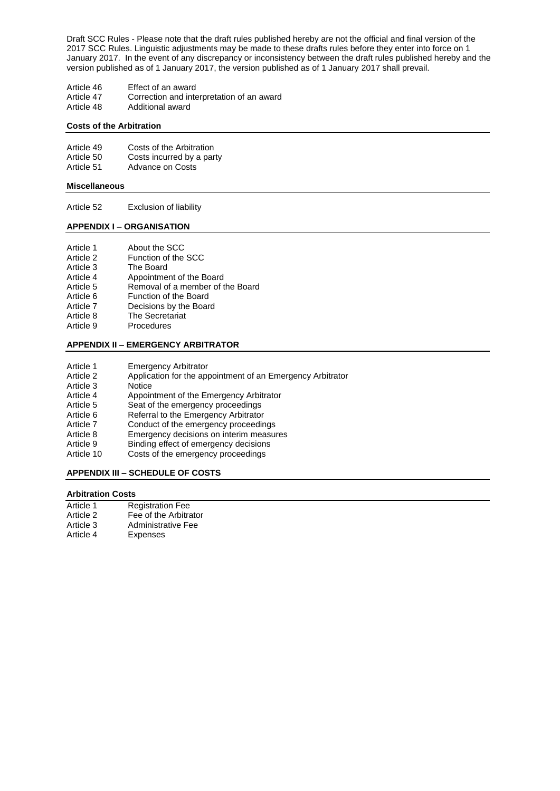| Article 46 | Effect of an award                        |
|------------|-------------------------------------------|
| Article 47 | Correction and interpretation of an award |
| Article 48 | Additional award                          |

#### **Costs of the Arbitration**

| Article 49 | Costs of the Arbitration  |
|------------|---------------------------|
| Article 50 | Costs incurred by a party |
| Article 51 | Advance on Costs          |

#### **Miscellaneous**

Article 52 Exclusion of liability

#### **APPENDIX I – ORGANISATION**

| Article 1 | About the SCC                    |
|-----------|----------------------------------|
| Article 2 | Function of the SCC              |
| Article 3 | The Board                        |
| Article 4 | Appointment of the Board         |
| Article 5 | Removal of a member of the Board |
| Article 6 | Function of the Board            |
| Article 7 | Decisions by the Board           |
| Article 8 | The Secretariat                  |
| Article 9 | Procedures                       |
|           |                                  |

#### **APPENDIX II – EMERGENCY ARBITRATOR**

- Article 2 Application for the appointment of an Emergency Arbitrator<br>Article 3 Notice
- 
- Article 3<br>Article 4 Appointment of the Emergency Arbitrator
- Article 5 Seat of the emergency proceedings
- Article 6 Referral to the Emergency Arbitrator
- Article 7 Conduct of the emergency proceedings
- Article 8 Emergency decisions on interim measures
- Article 9 Binding effect of emergency decisions
- Article 10 Costs of the emergency proceedings

#### **APPENDIX III – SCHEDULE OF COSTS**

#### **Arbitration Costs**

| Article 1 | <b>Registration Fee</b> |
|-----------|-------------------------|
| Article 2 | Fee of the Arbitrator   |
| Article 3 | Administrative Fee      |
| Article 4 | Expenses                |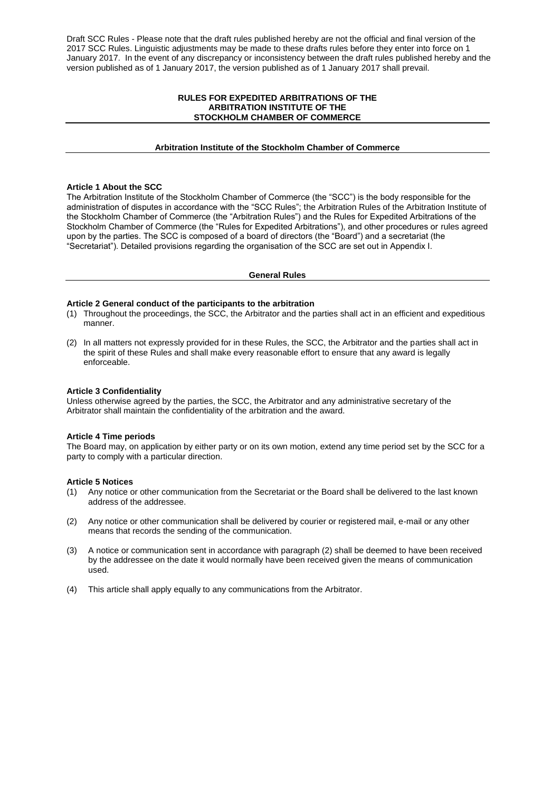#### **RULES FOR EXPEDITED ARBITRATIONS OF THE ARBITRATION INSTITUTE OF THE STOCKHOLM CHAMBER OF COMMERCE**

#### **Arbitration Institute of the Stockholm Chamber of Commerce**

#### **Article 1 About the SCC**

The Arbitration Institute of the Stockholm Chamber of Commerce (the "SCC") is the body responsible for the administration of disputes in accordance with the "SCC Rules"; the Arbitration Rules of the Arbitration Institute of the Stockholm Chamber of Commerce (the "Arbitration Rules") and the Rules for Expedited Arbitrations of the Stockholm Chamber of Commerce (the "Rules for Expedited Arbitrations"), and other procedures or rules agreed upon by the parties. The SCC is composed of a board of directors (the "Board") and a secretariat (the "Secretariat"). Detailed provisions regarding the organisation of the SCC are set out in Appendix I.

#### **General Rules**

#### **Article 2 General conduct of the participants to the arbitration**

- (1) Throughout the proceedings, the SCC, the Arbitrator and the parties shall act in an efficient and expeditious manner.
- (2) In all matters not expressly provided for in these Rules, the SCC, the Arbitrator and the parties shall act in the spirit of these Rules and shall make every reasonable effort to ensure that any award is legally enforceable.

#### **Article 3 Confidentiality**

Unless otherwise agreed by the parties, the SCC, the Arbitrator and any administrative secretary of the Arbitrator shall maintain the confidentiality of the arbitration and the award.

#### **Article 4 Time periods**

The Board may, on application by either party or on its own motion, extend any time period set by the SCC for a party to comply with a particular direction.

#### **Article 5 Notices**

- (1) Any notice or other communication from the Secretariat or the Board shall be delivered to the last known address of the addressee.
- (2) Any notice or other communication shall be delivered by courier or registered mail, e-mail or any other means that records the sending of the communication.
- (3) A notice or communication sent in accordance with paragraph (2) shall be deemed to have been received by the addressee on the date it would normally have been received given the means of communication used.
- (4) This article shall apply equally to any communications from the Arbitrator.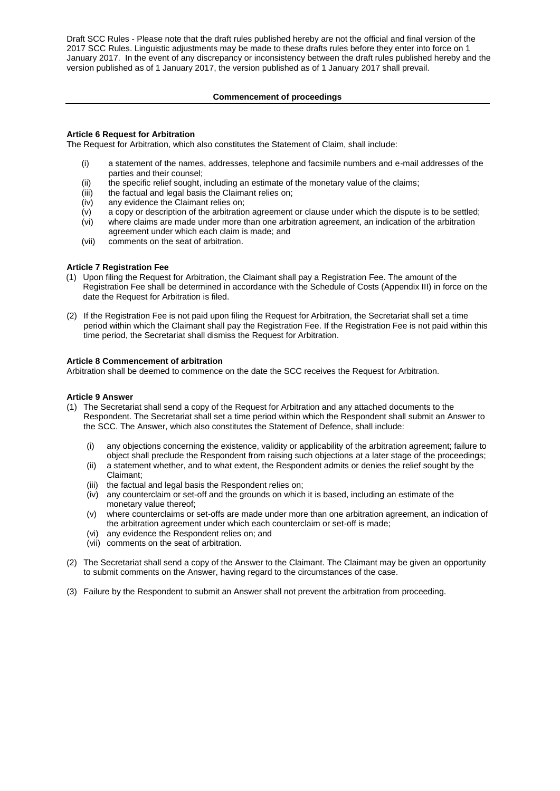#### **Commencement of proceedings**

#### **Article 6 Request for Arbitration**

The Request for Arbitration, which also constitutes the Statement of Claim, shall include:

- (i) a statement of the names, addresses, telephone and facsimile numbers and e-mail addresses of the parties and their counsel;
- (ii) the specific relief sought, including an estimate of the monetary value of the claims;
- (iii) the factual and legal basis the Claimant relies on:
- (iv) any evidence the Claimant relies on;
- $(v)$  a copy or description of the arbitration agreement or clause under which the dispute is to be settled; (vi) where claims are made under more than one arbitration agreement, an indication of the arbitration
- agreement under which each claim is made; and
- (vii) comments on the seat of arbitration.

#### **Article 7 Registration Fee**

- (1) Upon filing the Request for Arbitration, the Claimant shall pay a Registration Fee. The amount of the Registration Fee shall be determined in accordance with the Schedule of Costs (Appendix III) in force on the date the Request for Arbitration is filed.
- (2) If the Registration Fee is not paid upon filing the Request for Arbitration, the Secretariat shall set a time period within which the Claimant shall pay the Registration Fee. If the Registration Fee is not paid within this time period, the Secretariat shall dismiss the Request for Arbitration.

#### **Article 8 Commencement of arbitration**

Arbitration shall be deemed to commence on the date the SCC receives the Request for Arbitration.

#### **Article 9 Answer**

- (1) The Secretariat shall send a copy of the Request for Arbitration and any attached documents to the Respondent. The Secretariat shall set a time period within which the Respondent shall submit an Answer to the SCC. The Answer, which also constitutes the Statement of Defence, shall include:
	- (i) any objections concerning the existence, validity or applicability of the arbitration agreement; failure to object shall preclude the Respondent from raising such objections at a later stage of the proceedings;
	- (ii) a statement whether, and to what extent, the Respondent admits or denies the relief sought by the Claimant;
	- (iii) the factual and legal basis the Respondent relies on;
	- (iv) any counterclaim or set-off and the grounds on which it is based, including an estimate of the monetary value thereof;
	- (v) where counterclaims or set-offs are made under more than one arbitration agreement, an indication of the arbitration agreement under which each counterclaim or set-off is made;
	- (vi) any evidence the Respondent relies on; and
	- (vii) comments on the seat of arbitration.
- (2) The Secretariat shall send a copy of the Answer to the Claimant. The Claimant may be given an opportunity to submit comments on the Answer, having regard to the circumstances of the case.
- (3) Failure by the Respondent to submit an Answer shall not prevent the arbitration from proceeding.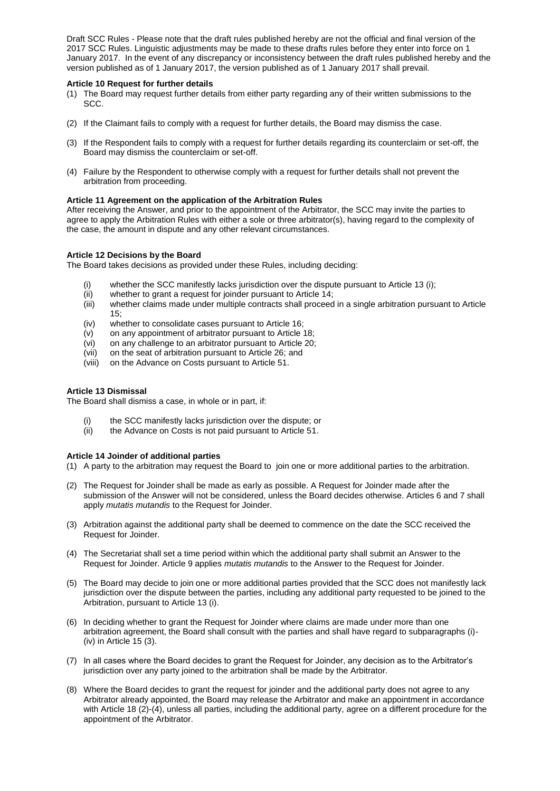#### **Article 10 Request for further details**

- (1) The Board may request further details from either party regarding any of their written submissions to the SCC.
- (2) If the Claimant fails to comply with a request for further details, the Board may dismiss the case.
- (3) If the Respondent fails to comply with a request for further details regarding its counterclaim or set-off, the Board may dismiss the counterclaim or set-off.
- (4) Failure by the Respondent to otherwise comply with a request for further details shall not prevent the arbitration from proceeding.

#### **Article 11 Agreement on the application of the Arbitration Rules**

After receiving the Answer, and prior to the appointment of the Arbitrator, the SCC may invite the parties to agree to apply the Arbitration Rules with either a sole or three arbitrator(s), having regard to the complexity of the case, the amount in dispute and any other relevant circumstances.

#### **Article 12 Decisions by the Board**

The Board takes decisions as provided under these Rules, including deciding:

- (i) whether the SCC manifestly lacks jurisdiction over the dispute pursuant to Article 13 (i);
- (ii) whether to grant a request for joinder pursuant to Article 14;<br>(iii) whether claims made under multiple contracts shall proceed
- whether claims made under multiple contracts shall proceed in a single arbitration pursuant to Article  $15<sup>5</sup>$
- (iv) whether to consolidate cases pursuant to Article 16;
- $(v)$  on any appointment of arbitrator pursuant to Article 18;
- (vi) on any challenge to an arbitrator pursuant to Article 20;
- (vii) on the seat of arbitration pursuant to Article 26; and
- (viii) on the Advance on Costs pursuant to Article 51.

#### **Article 13 Dismissal**

The Board shall dismiss a case, in whole or in part, if:

- (i) the SCC manifestly lacks jurisdiction over the dispute; or
- (ii) the Advance on Costs is not paid pursuant to Article 51.

#### **Article 14 Joinder of additional parties**

- (1) A party to the arbitration may request the Board to join one or more additional parties to the arbitration.
- (2) The Request for Joinder shall be made as early as possible. A Request for Joinder made after the submission of the Answer will not be considered, unless the Board decides otherwise. Articles 6 and 7 shall apply *mutatis mutandis* to the Request for Joinder.
- (3) Arbitration against the additional party shall be deemed to commence on the date the SCC received the Request for Joinder.
- (4) The Secretariat shall set a time period within which the additional party shall submit an Answer to the Request for Joinder. Article 9 applies *mutatis mutandis* to the Answer to the Request for Joinder.
- (5) The Board may decide to join one or more additional parties provided that the SCC does not manifestly lack jurisdiction over the dispute between the parties, including any additional party requested to be joined to the Arbitration, pursuant to Article 13 (i).
- (6) In deciding whether to grant the Request for Joinder where claims are made under more than one arbitration agreement, the Board shall consult with the parties and shall have regard to subparagraphs (i)- (iv) in Article 15 (3).
- (7) In all cases where the Board decides to grant the Request for Joinder, any decision as to the Arbitrator's jurisdiction over any party joined to the arbitration shall be made by the Arbitrator.
- (8) Where the Board decides to grant the request for joinder and the additional party does not agree to any Arbitrator already appointed, the Board may release the Arbitrator and make an appointment in accordance with Article 18 (2)-(4), unless all parties, including the additional party, agree on a different procedure for the appointment of the Arbitrator.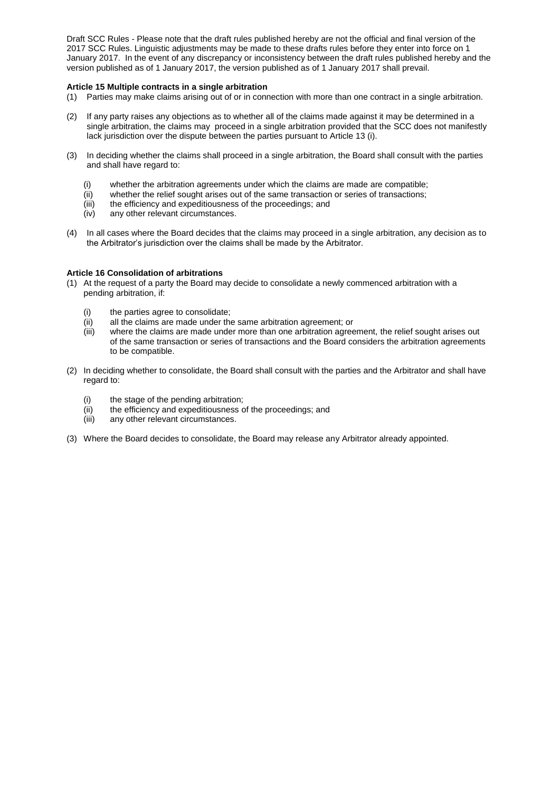#### **Article 15 Multiple contracts in a single arbitration**

- (1) Parties may make claims arising out of or in connection with more than one contract in a single arbitration.
- (2) If any party raises any objections as to whether all of the claims made against it may be determined in a single arbitration, the claims may proceed in a single arbitration provided that the SCC does not manifestly lack jurisdiction over the dispute between the parties pursuant to Article 13 (i).
- (3) In deciding whether the claims shall proceed in a single arbitration, the Board shall consult with the parties and shall have regard to:
	- (i) whether the arbitration agreements under which the claims are made are compatible;
	- (ii) whether the relief sought arises out of the same transaction or series of transactions;
	- (iii) the efficiency and expeditiousness of the proceedings; and
	- (iv) any other relevant circumstances.
- (4) In all cases where the Board decides that the claims may proceed in a single arbitration, any decision as to the Arbitrator's jurisdiction over the claims shall be made by the Arbitrator.

#### **Article 16 Consolidation of arbitrations**

- (1) At the request of a party the Board may decide to consolidate a newly commenced arbitration with a pending arbitration, if:
	- (i) the parties agree to consolidate;
	- (ii) all the claims are made under the same arbitration agreement; or
	- (iii) where the claims are made under more than one arbitration agreement, the relief sought arises out of the same transaction or series of transactions and the Board considers the arbitration agreements to be compatible.
- (2) In deciding whether to consolidate, the Board shall consult with the parties and the Arbitrator and shall have regard to:
	- (i) the stage of the pending arbitration;
	- (ii) the efficiency and expeditiousness of the proceedings; and
	- (iii) any other relevant circumstances.
- (3) Where the Board decides to consolidate, the Board may release any Arbitrator already appointed.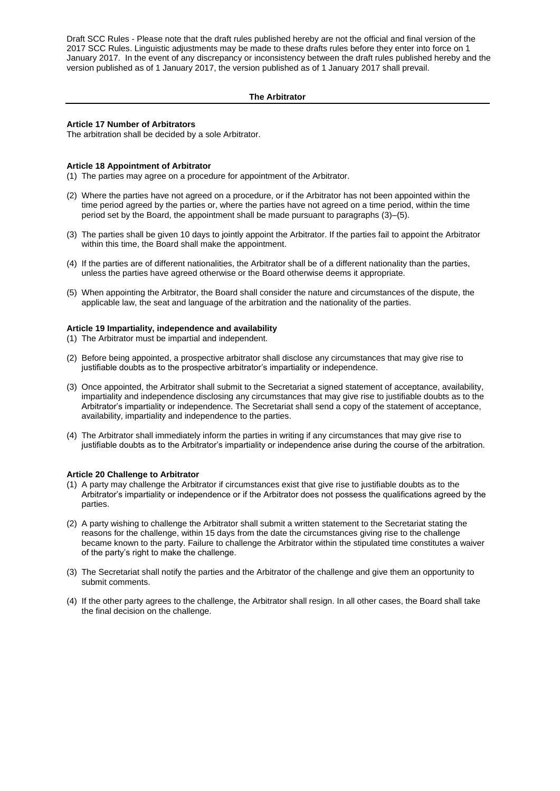#### **The Arbitrator**

#### **Article 17 Number of Arbitrators**

The arbitration shall be decided by a sole Arbitrator.

#### **Article 18 Appointment of Arbitrator**

(1) The parties may agree on a procedure for appointment of the Arbitrator.

- (2) Where the parties have not agreed on a procedure, or if the Arbitrator has not been appointed within the time period agreed by the parties or, where the parties have not agreed on a time period, within the time period set by the Board, the appointment shall be made pursuant to paragraphs (3)–(5).
- (3) The parties shall be given 10 days to jointly appoint the Arbitrator. If the parties fail to appoint the Arbitrator within this time, the Board shall make the appointment.
- (4) If the parties are of different nationalities, the Arbitrator shall be of a different nationality than the parties, unless the parties have agreed otherwise or the Board otherwise deems it appropriate.
- (5) When appointing the Arbitrator, the Board shall consider the nature and circumstances of the dispute, the applicable law, the seat and language of the arbitration and the nationality of the parties.

#### **Article 19 Impartiality, independence and availability**

- (1) The Arbitrator must be impartial and independent.
- (2) Before being appointed, a prospective arbitrator shall disclose any circumstances that may give rise to justifiable doubts as to the prospective arbitrator's impartiality or independence.
- (3) Once appointed, the Arbitrator shall submit to the Secretariat a signed statement of acceptance, availability, impartiality and independence disclosing any circumstances that may give rise to justifiable doubts as to the Arbitrator's impartiality or independence. The Secretariat shall send a copy of the statement of acceptance, availability, impartiality and independence to the parties.
- (4) The Arbitrator shall immediately inform the parties in writing if any circumstances that may give rise to justifiable doubts as to the Arbitrator's impartiality or independence arise during the course of the arbitration.

#### **Article 20 Challenge to Arbitrator**

- (1) A party may challenge the Arbitrator if circumstances exist that give rise to justifiable doubts as to the Arbitrator's impartiality or independence or if the Arbitrator does not possess the qualifications agreed by the parties.
- (2) A party wishing to challenge the Arbitrator shall submit a written statement to the Secretariat stating the reasons for the challenge, within 15 days from the date the circumstances giving rise to the challenge became known to the party. Failure to challenge the Arbitrator within the stipulated time constitutes a waiver of the party's right to make the challenge.
- (3) The Secretariat shall notify the parties and the Arbitrator of the challenge and give them an opportunity to submit comments.
- (4) If the other party agrees to the challenge, the Arbitrator shall resign. In all other cases, the Board shall take the final decision on the challenge.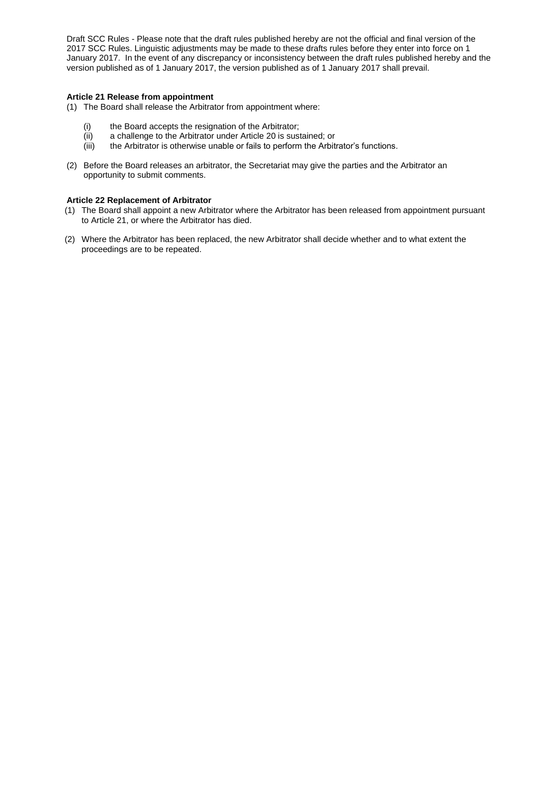#### **Article 21 Release from appointment**

- (1) The Board shall release the Arbitrator from appointment where:
	- (i) the Board accepts the resignation of the Arbitrator;
	- (ii) a challenge to the Arbitrator under Article 20 is sustained; or
	- (iii) the Arbitrator is otherwise unable or fails to perform the Arbitrator's functions.
- (2) Before the Board releases an arbitrator, the Secretariat may give the parties and the Arbitrator an opportunity to submit comments.

#### **Article 22 Replacement of Arbitrator**

- (1) The Board shall appoint a new Arbitrator where the Arbitrator has been released from appointment pursuant to Article 21, or where the Arbitrator has died.
- (2) Where the Arbitrator has been replaced, the new Arbitrator shall decide whether and to what extent the proceedings are to be repeated.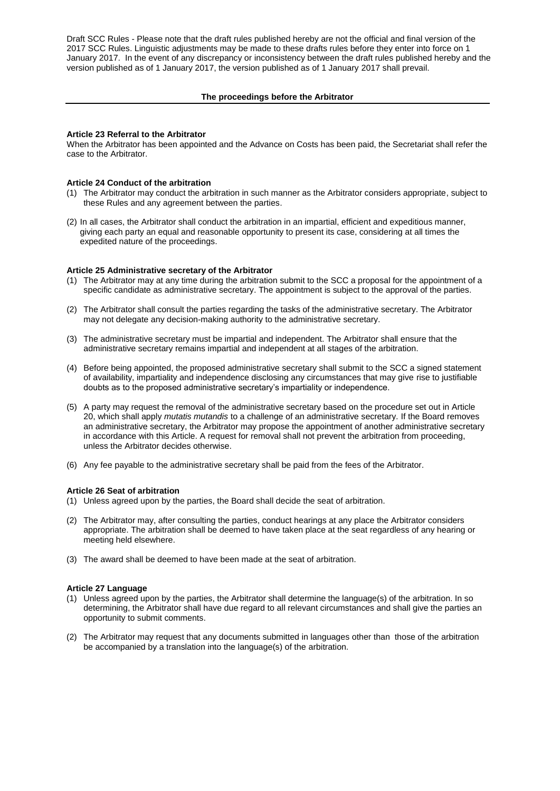#### **The proceedings before the Arbitrator**

#### **Article 23 Referral to the Arbitrator**

When the Arbitrator has been appointed and the Advance on Costs has been paid, the Secretariat shall refer the case to the Arbitrator.

#### **Article 24 Conduct of the arbitration**

- (1) The Arbitrator may conduct the arbitration in such manner as the Arbitrator considers appropriate, subject to these Rules and any agreement between the parties.
- (2) In all cases, the Arbitrator shall conduct the arbitration in an impartial, efficient and expeditious manner, giving each party an equal and reasonable opportunity to present its case, considering at all times the expedited nature of the proceedings.

#### **Article 25 Administrative secretary of the Arbitrator**

- (1) The Arbitrator may at any time during the arbitration submit to the SCC a proposal for the appointment of a specific candidate as administrative secretary. The appointment is subject to the approval of the parties.
- (2) The Arbitrator shall consult the parties regarding the tasks of the administrative secretary. The Arbitrator may not delegate any decision-making authority to the administrative secretary.
- (3) The administrative secretary must be impartial and independent. The Arbitrator shall ensure that the administrative secretary remains impartial and independent at all stages of the arbitration.
- (4) Before being appointed, the proposed administrative secretary shall submit to the SCC a signed statement of availability, impartiality and independence disclosing any circumstances that may give rise to justifiable doubts as to the proposed administrative secretary's impartiality or independence.
- (5) A party may request the removal of the administrative secretary based on the procedure set out in Article 20, which shall apply *mutatis mutandis* to a challenge of an administrative secretary. If the Board removes an administrative secretary, the Arbitrator may propose the appointment of another administrative secretary in accordance with this Article. A request for removal shall not prevent the arbitration from proceeding, unless the Arbitrator decides otherwise.
- (6) Any fee payable to the administrative secretary shall be paid from the fees of the Arbitrator.

#### **Article 26 Seat of arbitration**

- (1) Unless agreed upon by the parties, the Board shall decide the seat of arbitration.
- (2) The Arbitrator may, after consulting the parties, conduct hearings at any place the Arbitrator considers appropriate. The arbitration shall be deemed to have taken place at the seat regardless of any hearing or meeting held elsewhere.
- (3) The award shall be deemed to have been made at the seat of arbitration.

#### **Article 27 Language**

- (1) Unless agreed upon by the parties, the Arbitrator shall determine the language(s) of the arbitration. In so determining, the Arbitrator shall have due regard to all relevant circumstances and shall give the parties an opportunity to submit comments.
- (2) The Arbitrator may request that any documents submitted in languages other than those of the arbitration be accompanied by a translation into the language(s) of the arbitration.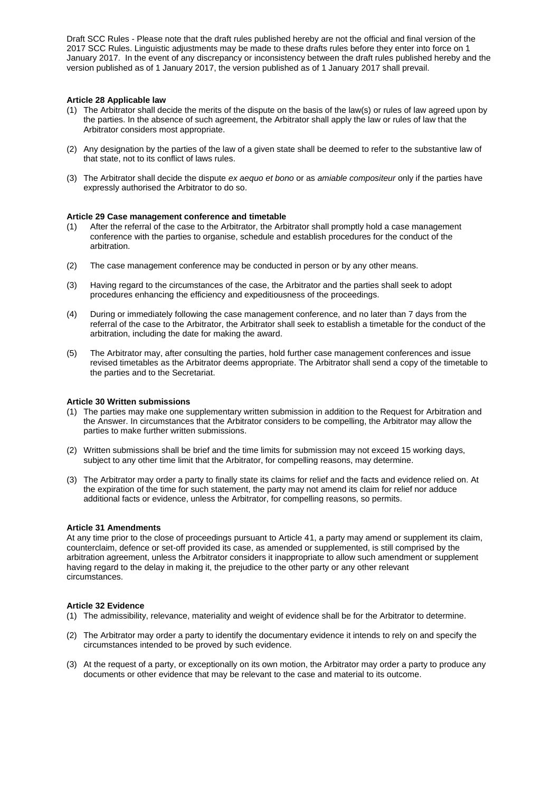#### **Article 28 Applicable law**

- (1) The Arbitrator shall decide the merits of the dispute on the basis of the law(s) or rules of law agreed upon by the parties. In the absence of such agreement, the Arbitrator shall apply the law or rules of law that the Arbitrator considers most appropriate.
- (2) Any designation by the parties of the law of a given state shall be deemed to refer to the substantive law of that state, not to its conflict of laws rules.
- (3) The Arbitrator shall decide the dispute *ex aequo et bono* or as *amiable compositeur* only if the parties have expressly authorised the Arbitrator to do so.

#### **Article 29 Case management conference and timetable**

- (1) After the referral of the case to the Arbitrator, the Arbitrator shall promptly hold a case management conference with the parties to organise, schedule and establish procedures for the conduct of the arbitration.
- (2) The case management conference may be conducted in person or by any other means.
- (3) Having regard to the circumstances of the case, the Arbitrator and the parties shall seek to adopt procedures enhancing the efficiency and expeditiousness of the proceedings.
- (4) During or immediately following the case management conference, and no later than 7 days from the referral of the case to the Arbitrator, the Arbitrator shall seek to establish a timetable for the conduct of the arbitration, including the date for making the award.
- (5) The Arbitrator may, after consulting the parties, hold further case management conferences and issue revised timetables as the Arbitrator deems appropriate. The Arbitrator shall send a copy of the timetable to the parties and to the Secretariat.

#### **Article 30 Written submissions**

- (1) The parties may make one supplementary written submission in addition to the Request for Arbitration and the Answer. In circumstances that the Arbitrator considers to be compelling, the Arbitrator may allow the parties to make further written submissions.
- (2) Written submissions shall be brief and the time limits for submission may not exceed 15 working days, subject to any other time limit that the Arbitrator, for compelling reasons, may determine.
- (3) The Arbitrator may order a party to finally state its claims for relief and the facts and evidence relied on. At the expiration of the time for such statement, the party may not amend its claim for relief nor adduce additional facts or evidence, unless the Arbitrator, for compelling reasons, so permits.

#### **Article 31 Amendments**

At any time prior to the close of proceedings pursuant to Article 41, a party may amend or supplement its claim, counterclaim, defence or set-off provided its case, as amended or supplemented, is still comprised by the arbitration agreement, unless the Arbitrator considers it inappropriate to allow such amendment or supplement having regard to the delay in making it, the prejudice to the other party or any other relevant circumstances.

#### **Article 32 Evidence**

- (1) The admissibility, relevance, materiality and weight of evidence shall be for the Arbitrator to determine.
- (2) The Arbitrator may order a party to identify the documentary evidence it intends to rely on and specify the circumstances intended to be proved by such evidence.
- (3) At the request of a party, or exceptionally on its own motion, the Arbitrator may order a party to produce any documents or other evidence that may be relevant to the case and material to its outcome.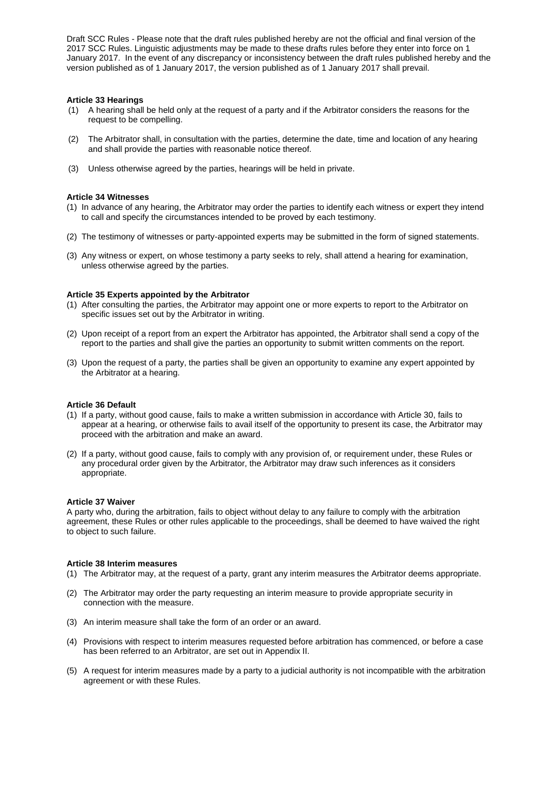#### **Article 33 Hearings**

- (1) A hearing shall be held only at the request of a party and if the Arbitrator considers the reasons for the request to be compelling.
- (2) The Arbitrator shall, in consultation with the parties, determine the date, time and location of any hearing and shall provide the parties with reasonable notice thereof.
- (3) Unless otherwise agreed by the parties, hearings will be held in private.

#### **Article 34 Witnesses**

- (1) In advance of any hearing, the Arbitrator may order the parties to identify each witness or expert they intend to call and specify the circumstances intended to be proved by each testimony.
- (2) The testimony of witnesses or party-appointed experts may be submitted in the form of signed statements.
- (3) Any witness or expert, on whose testimony a party seeks to rely, shall attend a hearing for examination, unless otherwise agreed by the parties.

#### **Article 35 Experts appointed by the Arbitrator**

- (1) After consulting the parties, the Arbitrator may appoint one or more experts to report to the Arbitrator on specific issues set out by the Arbitrator in writing.
- (2) Upon receipt of a report from an expert the Arbitrator has appointed, the Arbitrator shall send a copy of the report to the parties and shall give the parties an opportunity to submit written comments on the report.
- (3) Upon the request of a party, the parties shall be given an opportunity to examine any expert appointed by the Arbitrator at a hearing.

#### **Article 36 Default**

- (1) If a party, without good cause, fails to make a written submission in accordance with Article 30, fails to appear at a hearing, or otherwise fails to avail itself of the opportunity to present its case, the Arbitrator may proceed with the arbitration and make an award.
- (2) If a party, without good cause, fails to comply with any provision of, or requirement under, these Rules or any procedural order given by the Arbitrator, the Arbitrator may draw such inferences as it considers appropriate.

#### **Article 37 Waiver**

A party who, during the arbitration, fails to object without delay to any failure to comply with the arbitration agreement, these Rules or other rules applicable to the proceedings, shall be deemed to have waived the right to object to such failure.

#### **Article 38 Interim measures**

- (1) The Arbitrator may, at the request of a party, grant any interim measures the Arbitrator deems appropriate.
- (2) The Arbitrator may order the party requesting an interim measure to provide appropriate security in connection with the measure.
- (3) An interim measure shall take the form of an order or an award.
- (4) Provisions with respect to interim measures requested before arbitration has commenced, or before a case has been referred to an Arbitrator, are set out in Appendix II.
- (5) A request for interim measures made by a party to a judicial authority is not incompatible with the arbitration agreement or with these Rules.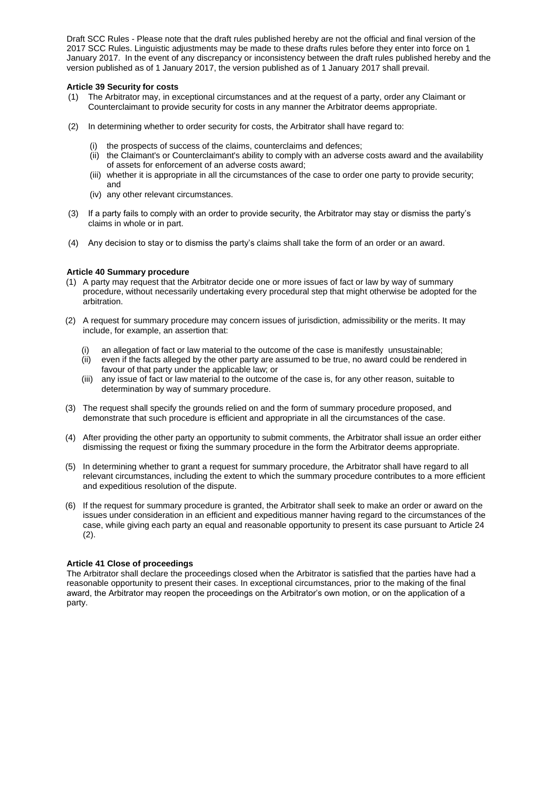#### **Article 39 Security for costs**

- (1) The Arbitrator may, in exceptional circumstances and at the request of a party, order any Claimant or Counterclaimant to provide security for costs in any manner the Arbitrator deems appropriate.
- (2) In determining whether to order security for costs, the Arbitrator shall have regard to:
	- (i) the prospects of success of the claims, counterclaims and defences;
	- (ii) the Claimant's or Counterclaimant's ability to comply with an adverse costs award and the availability of assets for enforcement of an adverse costs award;
	- (iii) whether it is appropriate in all the circumstances of the case to order one party to provide security; and
	- (iv) any other relevant circumstances.
- (3) If a party fails to comply with an order to provide security, the Arbitrator may stay or dismiss the party's claims in whole or in part.
- (4) Any decision to stay or to dismiss the party's claims shall take the form of an order or an award.

#### **Article 40 Summary procedure**

- (1) A party may request that the Arbitrator decide one or more issues of fact or law by way of summary procedure, without necessarily undertaking every procedural step that might otherwise be adopted for the arbitration.
- (2) A request for summary procedure may concern issues of jurisdiction, admissibility or the merits. It may include, for example, an assertion that:
	- (i) an allegation of fact or law material to the outcome of the case is manifestly unsustainable;
	- (ii) even if the facts alleged by the other party are assumed to be true, no award could be rendered in favour of that party under the applicable law; or
	- (iii) any issue of fact or law material to the outcome of the case is, for any other reason, suitable to determination by way of summary procedure.
- (3) The request shall specify the grounds relied on and the form of summary procedure proposed, and demonstrate that such procedure is efficient and appropriate in all the circumstances of the case.
- (4) After providing the other party an opportunity to submit comments, the Arbitrator shall issue an order either dismissing the request or fixing the summary procedure in the form the Arbitrator deems appropriate.
- (5) In determining whether to grant a request for summary procedure, the Arbitrator shall have regard to all relevant circumstances, including the extent to which the summary procedure contributes to a more efficient and expeditious resolution of the dispute.
- (6) If the request for summary procedure is granted, the Arbitrator shall seek to make an order or award on the issues under consideration in an efficient and expeditious manner having regard to the circumstances of the case, while giving each party an equal and reasonable opportunity to present its case pursuant to Article 24  $(2)$ .

#### **Article 41 Close of proceedings**

The Arbitrator shall declare the proceedings closed when the Arbitrator is satisfied that the parties have had a reasonable opportunity to present their cases. In exceptional circumstances, prior to the making of the final award, the Arbitrator may reopen the proceedings on the Arbitrator's own motion, or on the application of a party.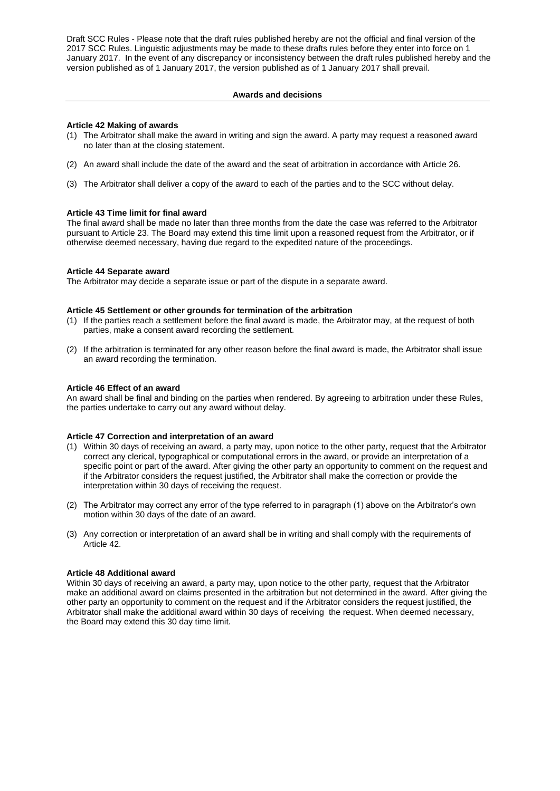#### **Awards and decisions**

#### **Article 42 Making of awards**

- (1) The Arbitrator shall make the award in writing and sign the award. A party may request a reasoned award no later than at the closing statement.
- (2) An award shall include the date of the award and the seat of arbitration in accordance with Article 26.
- (3) The Arbitrator shall deliver a copy of the award to each of the parties and to the SCC without delay.

#### **Article 43 Time limit for final award**

The final award shall be made no later than three months from the date the case was referred to the Arbitrator pursuant to Article 23. The Board may extend this time limit upon a reasoned request from the Arbitrator, or if otherwise deemed necessary, having due regard to the expedited nature of the proceedings.

#### **Article 44 Separate award**

The Arbitrator may decide a separate issue or part of the dispute in a separate award.

#### **Article 45 Settlement or other grounds for termination of the arbitration**

- (1) If the parties reach a settlement before the final award is made, the Arbitrator may, at the request of both parties, make a consent award recording the settlement.
- (2) If the arbitration is terminated for any other reason before the final award is made, the Arbitrator shall issue an award recording the termination.

#### **Article 46 Effect of an award**

An award shall be final and binding on the parties when rendered. By agreeing to arbitration under these Rules, the parties undertake to carry out any award without delay.

#### **Article 47 Correction and interpretation of an award**

- (1) Within 30 days of receiving an award, a party may, upon notice to the other party, request that the Arbitrator correct any clerical, typographical or computational errors in the award, or provide an interpretation of a specific point or part of the award. After giving the other party an opportunity to comment on the request and if the Arbitrator considers the request justified, the Arbitrator shall make the correction or provide the interpretation within 30 days of receiving the request.
- (2) The Arbitrator may correct any error of the type referred to in paragraph (1) above on the Arbitrator's own motion within 30 days of the date of an award.
- (3) Any correction or interpretation of an award shall be in writing and shall comply with the requirements of Article 42.

#### **Article 48 Additional award**

Within 30 days of receiving an award, a party may, upon notice to the other party, request that the Arbitrator make an additional award on claims presented in the arbitration but not determined in the award. After giving the other party an opportunity to comment on the request and if the Arbitrator considers the request justified, the Arbitrator shall make the additional award within 30 days of receiving the request. When deemed necessary, the Board may extend this 30 day time limit.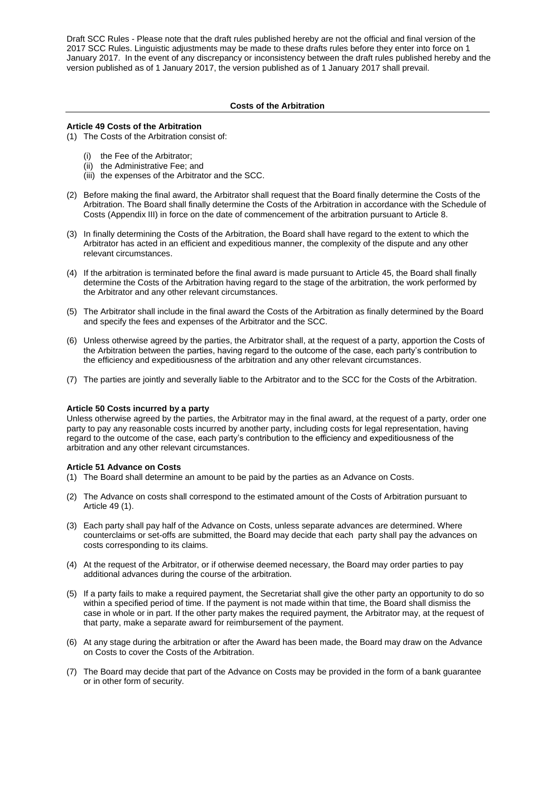#### **Costs of the Arbitration**

#### **Article 49 Costs of the Arbitration**

- (1) The Costs of the Arbitration consist of:
	- (i) the Fee of the Arbitrator;
	- (ii) the Administrative Fee; and
	- (iii) the expenses of the Arbitrator and the SCC.
- (2) Before making the final award, the Arbitrator shall request that the Board finally determine the Costs of the Arbitration. The Board shall finally determine the Costs of the Arbitration in accordance with the Schedule of Costs (Appendix III) in force on the date of commencement of the arbitration pursuant to Article 8.
- (3) In finally determining the Costs of the Arbitration, the Board shall have regard to the extent to which the Arbitrator has acted in an efficient and expeditious manner, the complexity of the dispute and any other relevant circumstances.
- (4) If the arbitration is terminated before the final award is made pursuant to Article 45, the Board shall finally determine the Costs of the Arbitration having regard to the stage of the arbitration, the work performed by the Arbitrator and any other relevant circumstances.
- (5) The Arbitrator shall include in the final award the Costs of the Arbitration as finally determined by the Board and specify the fees and expenses of the Arbitrator and the SCC.
- (6) Unless otherwise agreed by the parties, the Arbitrator shall, at the request of a party, apportion the Costs of the Arbitration between the parties, having regard to the outcome of the case, each party's contribution to the efficiency and expeditiousness of the arbitration and any other relevant circumstances.
- (7) The parties are jointly and severally liable to the Arbitrator and to the SCC for the Costs of the Arbitration.

#### **Article 50 Costs incurred by a party**

Unless otherwise agreed by the parties, the Arbitrator may in the final award, at the request of a party, order one party to pay any reasonable costs incurred by another party, including costs for legal representation, having regard to the outcome of the case, each party's contribution to the efficiency and expeditiousness of the arbitration and any other relevant circumstances.

#### **Article 51 Advance on Costs**

- (1) The Board shall determine an amount to be paid by the parties as an Advance on Costs.
- (2) The Advance on costs shall correspond to the estimated amount of the Costs of Arbitration pursuant to Article 49 (1).
- (3) Each party shall pay half of the Advance on Costs, unless separate advances are determined. Where counterclaims or set-offs are submitted, the Board may decide that each party shall pay the advances on costs corresponding to its claims.
- (4) At the request of the Arbitrator, or if otherwise deemed necessary, the Board may order parties to pay additional advances during the course of the arbitration.
- (5) If a party fails to make a required payment, the Secretariat shall give the other party an opportunity to do so within a specified period of time. If the payment is not made within that time, the Board shall dismiss the case in whole or in part. If the other party makes the required payment, the Arbitrator may, at the request of that party, make a separate award for reimbursement of the payment.
- (6) At any stage during the arbitration or after the Award has been made, the Board may draw on the Advance on Costs to cover the Costs of the Arbitration.
- (7) The Board may decide that part of the Advance on Costs may be provided in the form of a bank guarantee or in other form of security.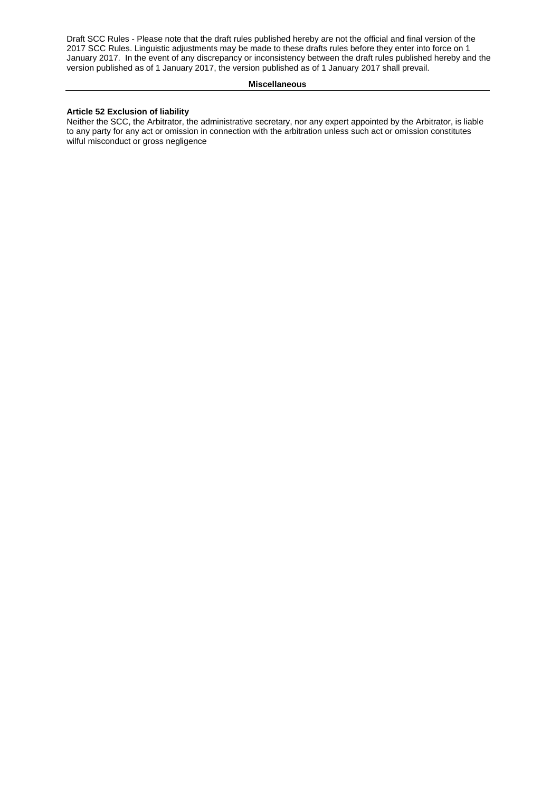#### **Miscellaneous**

#### **Article 52 Exclusion of liability**

Neither the SCC, the Arbitrator, the administrative secretary, nor any expert appointed by the Arbitrator, is liable to any party for any act or omission in connection with the arbitration unless such act or omission constitutes wilful misconduct or gross negligence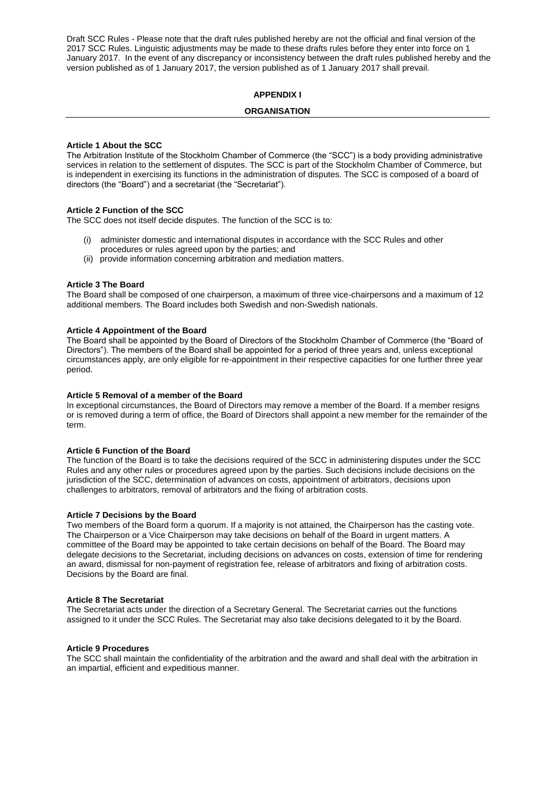#### **APPENDIX I**

#### **ORGANISATION**

#### **Article 1 About the SCC**

The Arbitration Institute of the Stockholm Chamber of Commerce (the "SCC") is a body providing administrative services in relation to the settlement of disputes. The SCC is part of the Stockholm Chamber of Commerce, but is independent in exercising its functions in the administration of disputes. The SCC is composed of a board of directors (the "Board") and a secretariat (the "Secretariat").

#### **Article 2 Function of the SCC**

The SCC does not itself decide disputes. The function of the SCC is to:

- (i) administer domestic and international disputes in accordance with the SCC Rules and other procedures or rules agreed upon by the parties; and
- (ii) provide information concerning arbitration and mediation matters.

#### **Article 3 The Board**

The Board shall be composed of one chairperson, a maximum of three vice-chairpersons and a maximum of 12 additional members. The Board includes both Swedish and non-Swedish nationals.

#### **Article 4 Appointment of the Board**

The Board shall be appointed by the Board of Directors of the Stockholm Chamber of Commerce (the "Board of Directors"). The members of the Board shall be appointed for a period of three years and, unless exceptional circumstances apply, are only eligible for re-appointment in their respective capacities for one further three year period.

#### **Article 5 Removal of a member of the Board**

In exceptional circumstances, the Board of Directors may remove a member of the Board. If a member resigns or is removed during a term of office, the Board of Directors shall appoint a new member for the remainder of the term.

#### **Article 6 Function of the Board**

The function of the Board is to take the decisions required of the SCC in administering disputes under the SCC Rules and any other rules or procedures agreed upon by the parties. Such decisions include decisions on the jurisdiction of the SCC, determination of advances on costs, appointment of arbitrators, decisions upon challenges to arbitrators, removal of arbitrators and the fixing of arbitration costs.

#### **Article 7 Decisions by the Board**

Two members of the Board form a quorum. If a majority is not attained, the Chairperson has the casting vote. The Chairperson or a Vice Chairperson may take decisions on behalf of the Board in urgent matters. A committee of the Board may be appointed to take certain decisions on behalf of the Board. The Board may delegate decisions to the Secretariat, including decisions on advances on costs, extension of time for rendering an award, dismissal for non-payment of registration fee, release of arbitrators and fixing of arbitration costs. Decisions by the Board are final.

#### **Article 8 The Secretariat**

The Secretariat acts under the direction of a Secretary General. The Secretariat carries out the functions assigned to it under the SCC Rules. The Secretariat may also take decisions delegated to it by the Board.

#### **Article 9 Procedures**

The SCC shall maintain the confidentiality of the arbitration and the award and shall deal with the arbitration in an impartial, efficient and expeditious manner.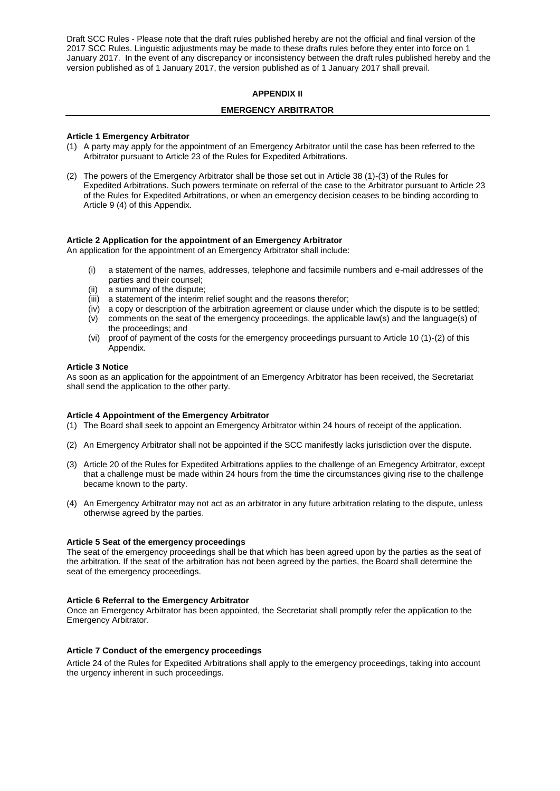#### **APPENDIX II**

#### **EMERGENCY ARBITRATOR**

#### **Article 1 Emergency Arbitrator**

- (1) A party may apply for the appointment of an Emergency Arbitrator until the case has been referred to the Arbitrator pursuant to Article 23 of the Rules for Expedited Arbitrations.
- (2) The powers of the Emergency Arbitrator shall be those set out in Article 38 (1)-(3) of the Rules for Expedited Arbitrations. Such powers terminate on referral of the case to the Arbitrator pursuant to Article 23 of the Rules for Expedited Arbitrations, or when an emergency decision ceases to be binding according to Article 9 (4) of this Appendix.

#### **Article 2 Application for the appointment of an Emergency Arbitrator**

An application for the appointment of an Emergency Arbitrator shall include:

- (i) a statement of the names, addresses, telephone and facsimile numbers and e-mail addresses of the parties and their counsel;
- (ii) a summary of the dispute;
- (iii) a statement of the interim relief sought and the reasons therefor;
- (iv) a copy or description of the arbitration agreement or clause under which the dispute is to be settled;
- (v) comments on the seat of the emergency proceedings, the applicable law(s) and the language(s) of the proceedings; and
- (vi) proof of payment of the costs for the emergency proceedings pursuant to Article 10 (1)-(2) of this Appendix.

#### **Article 3 Notice**

As soon as an application for the appointment of an Emergency Arbitrator has been received, the Secretariat shall send the application to the other party.

#### **Article 4 Appointment of the Emergency Arbitrator**

- (1) The Board shall seek to appoint an Emergency Arbitrator within 24 hours of receipt of the application.
- (2) An Emergency Arbitrator shall not be appointed if the SCC manifestly lacks jurisdiction over the dispute.
- (3) Article 20 of the Rules for Expedited Arbitrations applies to the challenge of an Emegency Arbitrator, except that a challenge must be made within 24 hours from the time the circumstances giving rise to the challenge became known to the party.
- (4) An Emergency Arbitrator may not act as an arbitrator in any future arbitration relating to the dispute, unless otherwise agreed by the parties.

#### **Article 5 Seat of the emergency proceedings**

The seat of the emergency proceedings shall be that which has been agreed upon by the parties as the seat of the arbitration. If the seat of the arbitration has not been agreed by the parties, the Board shall determine the seat of the emergency proceedings.

#### **Article 6 Referral to the Emergency Arbitrator**

Once an Emergency Arbitrator has been appointed, the Secretariat shall promptly refer the application to the Emergency Arbitrator.

#### **Article 7 Conduct of the emergency proceedings**

Article 24 of the Rules for Expedited Arbitrations shall apply to the emergency proceedings, taking into account the urgency inherent in such proceedings.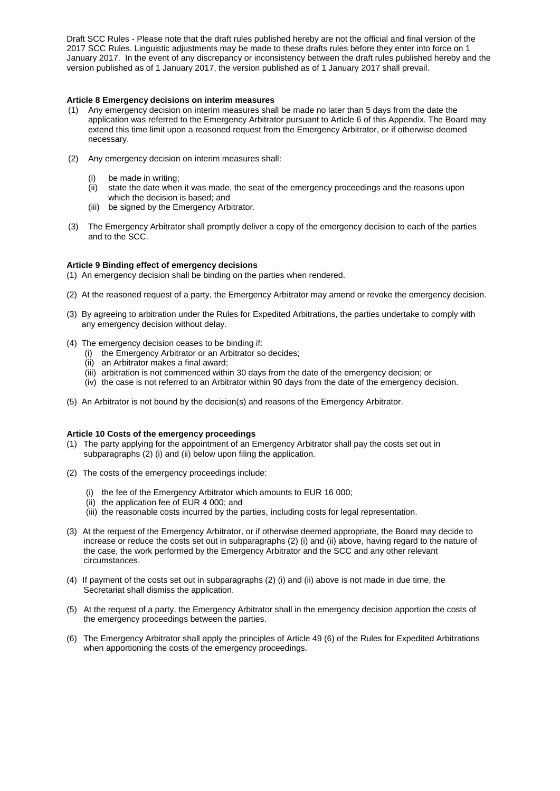#### **Article 8 Emergency decisions on interim measures**

- (1) Any emergency decision on interim measures shall be made no later than 5 days from the date the application was referred to the Emergency Arbitrator pursuant to Article 6 of this Appendix. The Board may extend this time limit upon a reasoned request from the Emergency Arbitrator, or if otherwise deemed necessary.
- (2) Any emergency decision on interim measures shall:
	- be made in writing;
	- (ii) state the date when it was made, the seat of the emergency proceedings and the reasons upon which the decision is based; and
	- (iii) be signed by the Emergency Arbitrator.
- (3) The Emergency Arbitrator shall promptly deliver a copy of the emergency decision to each of the parties and to the SCC.

#### **Article 9 Binding effect of emergency decisions**

(1) An emergency decision shall be binding on the parties when rendered.

- (2) At the reasoned request of a party, the Emergency Arbitrator may amend or revoke the emergency decision.
- (3) By agreeing to arbitration under the Rules for Expedited Arbitrations, the parties undertake to comply with any emergency decision without delay.
- (4) The emergency decision ceases to be binding if:
	- (i) the Emergency Arbitrator or an Arbitrator so decides;
	- (ii) an Arbitrator makes a final award;
	- (iii) arbitration is not commenced within 30 days from the date of the emergency decision; or
	- (iv) the case is not referred to an Arbitrator within 90 days from the date of the emergency decision.
- (5) An Arbitrator is not bound by the decision(s) and reasons of the Emergency Arbitrator.

#### **Article 10 Costs of the emergency proceedings**

- (1) The party applying for the appointment of an Emergency Arbitrator shall pay the costs set out in subparagraphs (2) (i) and (ii) below upon filing the application.
- (2) The costs of the emergency proceedings include:
	- (i) the fee of the Emergency Arbitrator which amounts to EUR 16 000;
	- (ii) the application fee of EUR 4 000; and
	- (iii) the reasonable costs incurred by the parties, including costs for legal representation.
- (3) At the request of the Emergency Arbitrator, or if otherwise deemed appropriate, the Board may decide to increase or reduce the costs set out in subparagraphs (2) (i) and (ii) above, having regard to the nature of the case, the work performed by the Emergency Arbitrator and the SCC and any other relevant circumstances.
- (4) If payment of the costs set out in subparagraphs (2) (i) and (ii) above is not made in due time, the Secretariat shall dismiss the application.
- (5) At the request of a party, the Emergency Arbitrator shall in the emergency decision apportion the costs of the emergency proceedings between the parties.
- (6) The Emergency Arbitrator shall apply the principles of Article 49 (6) of the Rules for Expedited Arbitrations when apportioning the costs of the emergency proceedings.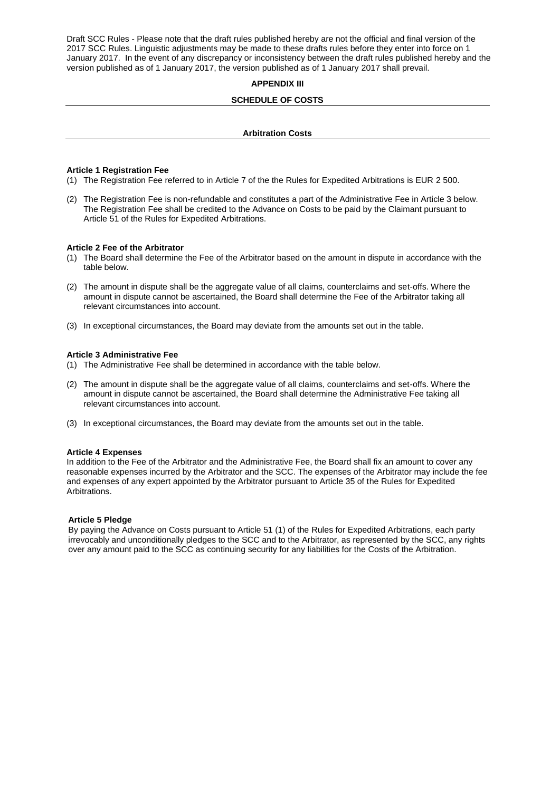#### **APPENDIX III**

#### **SCHEDULE OF COSTS**

#### **Arbitration Costs**

#### **Article 1 Registration Fee**

- (1) The Registration Fee referred to in Article 7 of the the Rules for Expedited Arbitrations is EUR 2 500.
- (2) The Registration Fee is non-refundable and constitutes a part of the Administrative Fee in Article 3 below. The Registration Fee shall be credited to the Advance on Costs to be paid by the Claimant pursuant to Article 51 of the Rules for Expedited Arbitrations.

#### **Article 2 Fee of the Arbitrator**

- (1) The Board shall determine the Fee of the Arbitrator based on the amount in dispute in accordance with the table below.
- (2) The amount in dispute shall be the aggregate value of all claims, counterclaims and set-offs. Where the amount in dispute cannot be ascertained, the Board shall determine the Fee of the Arbitrator taking all relevant circumstances into account.
- (3) In exceptional circumstances, the Board may deviate from the amounts set out in the table.

#### **Article 3 Administrative Fee**

- (1) The Administrative Fee shall be determined in accordance with the table below.
- (2) The amount in dispute shall be the aggregate value of all claims, counterclaims and set-offs. Where the amount in dispute cannot be ascertained, the Board shall determine the Administrative Fee taking all relevant circumstances into account.
- (3) In exceptional circumstances, the Board may deviate from the amounts set out in the table.

#### **Article 4 Expenses**

In addition to the Fee of the Arbitrator and the Administrative Fee, the Board shall fix an amount to cover any reasonable expenses incurred by the Arbitrator and the SCC. The expenses of the Arbitrator may include the fee and expenses of any expert appointed by the Arbitrator pursuant to Article 35 of the Rules for Expedited Arbitrations.

#### **Article 5 Pledge**

By paying the Advance on Costs pursuant to Article 51 (1) of the Rules for Expedited Arbitrations, each party irrevocably and unconditionally pledges to the SCC and to the Arbitrator, as represented by the SCC, any rights over any amount paid to the SCC as continuing security for any liabilities for the Costs of the Arbitration.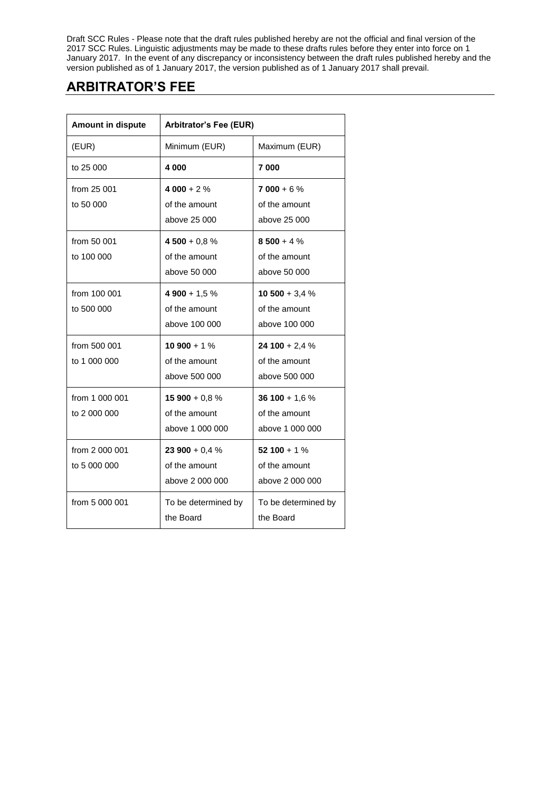## **ARBITRATOR'S FEE**

| <b>Amount in dispute</b>       | <b>Arbitrator's Fee (EUR)</b>                        |                                                      |  |
|--------------------------------|------------------------------------------------------|------------------------------------------------------|--|
| (EUR)                          | Minimum (EUR)                                        | Maximum (EUR)                                        |  |
| to 25 000                      | 4 000                                                | 7000                                                 |  |
| from 25 001<br>to 50 000       | $4000 + 2%$<br>of the amount<br>above 25 000         | $7000 + 6%$<br>of the amount<br>above 25 000         |  |
| from 50 001<br>to 100 000      | 4 500 + 0,8 $%$<br>of the amount<br>above 50 000     | $8500 + 4%$<br>of the amount<br>above 50 000         |  |
| from 100 001<br>to 500 000     | 4 900 + 1.5 $%$<br>of the amount<br>above 100 000    | 10 500 + 3.4 $%$<br>of the amount<br>above 100 000   |  |
| from 500 001<br>to 1 000 000   | $10900 + 1%$<br>of the amount<br>above 500 000       | $24100 + 2,4%$<br>of the amount<br>above 500 000     |  |
| from 1 000 001<br>to 2 000 000 | 15 900 + 0,8 $%$<br>of the amount<br>above 1 000 000 | 36 100 + 1,6 $%$<br>of the amount<br>above 1 000 000 |  |
| from 2 000 001<br>to 5 000 000 | 23 900 + $0.4$ %<br>of the amount<br>above 2 000 000 | 52 100 + 1 $%$<br>of the amount<br>above 2 000 000   |  |
| from 5 000 001                 | To be determined by<br>the Board                     | To be determined by<br>the Board                     |  |